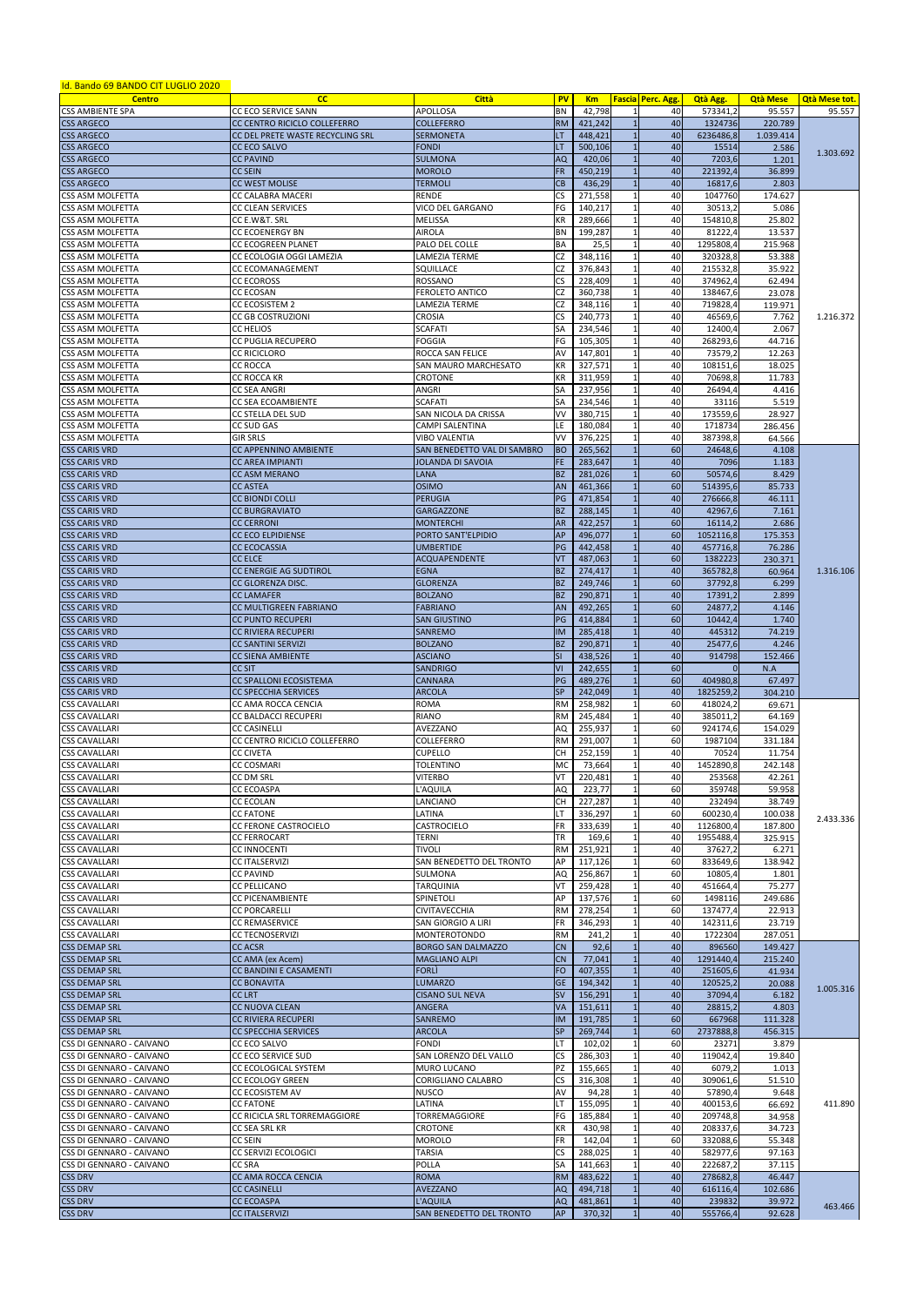| <u>Id. Bando 69 BANDO CIT LUGLIO 2020</u> |                                  |                                    |           |                         |                   |           |                 |                      |
|-------------------------------------------|----------------------------------|------------------------------------|-----------|-------------------------|-------------------|-----------|-----------------|----------------------|
| <b>Centro</b>                             | cc                               | <b>Città</b>                       | <b>PV</b> | <b>Km</b>               | Fascia Perc. Agg. | Qtà Agg.  | <b>Qtà Mese</b> | <b>Qtà Mese tot.</b> |
| <b>CSS AMBIENTE SPA</b>                   | CC ECO SERVICE SANN              | <b>APOLLOSA</b>                    | BN        | 42,798                  | 40                | 573341,2  | 95.557          | 95.557               |
| <b>CSS ARGECO</b>                         | CC CENTRO RICICLO COLLEFERRO     | <b>COLLEFERRO</b>                  | <b>RM</b> | 421,242                 | 40                | 1324736   | 220.789         |                      |
| <b>CSS ARGECO</b>                         | CC DEL PRETE WASTE RECYCLING SRL | <b>SERMONETA</b>                   | LT        | 448,421                 | 40                | 6236486,8 | 1.039.414       |                      |
| <b>CSS ARGECO</b>                         | <b>CC ECO SALVO</b>              | <b>FONDI</b>                       | LT        | 500,106                 | 40                | 15514     | 2.586           |                      |
|                                           |                                  |                                    |           |                         |                   |           |                 | 1.303.692            |
| <b>CSS ARGECO</b>                         | <b>CC PAVIND</b>                 | <b>SULMONA</b>                     | <b>AQ</b> | 420,06                  | 40                | 7203,6    | 1.201           |                      |
| <b>CSS ARGECO</b>                         | <b>CC SEIN</b>                   | <b>MOROLO</b>                      | <b>FR</b> | 450,219                 | 40                | 221392,4  | 36.899          |                      |
| <b>CSS ARGECO</b>                         | <b>CC WEST MOLISE</b>            | TERMOLI                            | CB        | 436,29                  | 40                | 16817,6   | 2.803           |                      |
| CSS ASM MOLFETTA                          | <b>CC CALABRA MACERI</b>         | RENDE                              | CS        | 271,558                 | 40                | 1047760   | 174.627         |                      |
| <b>CSS ASM MOLFETTA</b>                   | <b>CC CLEAN SERVICES</b>         | VICO DEL GARGANO                   | FG        | 140,217                 | 40                | 30513,2   | 5.086           |                      |
| <b>CSS ASM MOLFETTA</b>                   | CC E.W&T. SRL                    | <b>MELISSA</b>                     | КR        | 289,666                 | 40                | 154810,8  | 25.802          |                      |
| <b>CSS ASM MOLFETTA</b>                   | <b>CC ECOENERGY BN</b>           | <b>AIROLA</b>                      | BN        | 199,287                 | 40                | 81222,4   | 13.537          |                      |
| <b>CSS ASM MOLFETTA</b>                   | <b>CC ECOGREEN PLANET</b>        | PALO DEL COLLE                     | BA        | 25,5                    | 40                | 1295808,4 | 215.968         |                      |
| <b>CSS ASM MOLFETTA</b>                   | CC ECOLOGIA OGGI LAMEZIA         | LAMEZIA TERME                      | CZ        | 348,116                 | 40                | 320328,8  | 53.388          |                      |
|                                           |                                  |                                    |           |                         |                   |           |                 |                      |
| <b>CSS ASM MOLFETTA</b>                   | <b>CC ECOMANAGEMENT</b>          | SQUILLACE                          | CZ        | 376,843                 | 40                | 215532,8  | 35.922          |                      |
| CSS ASM MOLFETTA                          | <b>CC ECOROSS</b>                | ROSSANO                            | CS        | 228,409                 | 40                | 374962,4  | 62.494          |                      |
| <b>CSS ASM MOLFETTA</b>                   | <b>CC ECOSAN</b>                 | <b>FEROLETO ANTICO</b>             | CZ        | 360,738                 | 40                | 138467,6  | 23.078          |                      |
| <b>CSS ASM MOLFETTA</b>                   | <b>CC ECOSISTEM 2</b>            | LAMEZIA TERME                      | CZ        | 348.116                 | 40                | 719828,4  | 119.971         |                      |
| <b>CSS ASM MOLFETTA</b>                   | <b>CC GB COSTRUZIONI</b>         | CROSIA                             | <b>CS</b> | 240,773                 | 40                | 46569,6   | 7.762           | 1.216.372            |
| <b>CSS ASM MOLFETTA</b>                   | <b>CC HELIOS</b>                 | SCAFATI                            | SA        | 234,546                 | 40                | 12400,4   | 2.067           |                      |
| <b>CSS ASM MOLFETTA</b>                   | <b>CC PUGLIA RECUPERO</b>        | <b>FOGGIA</b>                      | FG        | 105,305                 | 40                | 268293,6  | 44.716          |                      |
|                                           |                                  |                                    |           |                         |                   |           |                 |                      |
| <b>CSS ASM MOLFETTA</b>                   | <b>CC RICICLORO</b>              | ROCCA SAN FELICE                   | AV        | 147,801                 | 40                | 73579,2   | 12.263          |                      |
| <b>CSS ASM MOLFETTA</b>                   | <b>CC ROCCA</b>                  | SAN MAURO MARCHESATO               | КR        | 327,571                 | 40                | 108151,6  | 18.025          |                      |
| <b>CSS ASM MOLFETTA</b>                   | <b>CC ROCCA KR</b>               | <b>CROTONE</b>                     | КR        | 311,959                 | 40                | 70698,8   | 11.783          |                      |
| <b>CSS ASM MOLFETTA</b>                   | <b>CC SEA ANGRI</b>              | ANGRI                              | SA        | 237,956                 | 40                | 26494,4   | 4.416           |                      |
| <b>CSS ASM MOLFETTA</b>                   | CC SEA ECOAMBIENTE               | <b>SCAFATI</b>                     | SA        | 234,546                 | 40                | 33116     | 5.519           |                      |
| <b>CSS ASM MOLFETTA</b>                   | CC STELLA DEL SUD                | SAN NICOLA DA CRISSA               | ٧V        | 380,715                 | 40                | 173559,6  | 28.927          |                      |
| CSS ASM MOLFETTA                          | CC SUD GAS                       | CAMPI SALENTINA                    | LE        | 180,084                 | 40                | 1718734   | 286.456         |                      |
|                                           |                                  |                                    | VV        |                         |                   |           |                 |                      |
| <b>CSS ASM MOLFETTA</b>                   | <b>GIR SRLS</b>                  | VIBO VALENTIA                      |           | 376,225                 | 40                | 387398,8  | 64.566          |                      |
| <b>CSS CARIS VRD</b>                      | <b>CC APPENNINO AMBIENTE</b>     | <b>SAN BENEDETTO VAL DI SAMBRO</b> | <b>BO</b> | 265,562                 | 60                | 24648,6   | 4.108           |                      |
| <b>CSS CARIS VRD</b>                      | <b>CC AREA IMPIANTI</b>          | JOLANDA DI SAVOIA                  | FE.       | 283,647                 | 40                | 7096      | 1.183           |                      |
| <b>CSS CARIS VRD</b>                      | <b>CC ASM MERANO</b>             | <b>LANA</b>                        | <b>BZ</b> | 281,026                 | 60                | 50574,6   | 8.429           |                      |
| <b>CSS CARIS VRD</b>                      | <b>CC ASTEA</b>                  | <b>OSIMO</b>                       | <b>AN</b> | 461,366                 | 60                | 514395,6  | 85.733          |                      |
| <b>CSS CARIS VRD</b>                      | <b>CC BIONDI COLLI</b>           | <b>PERUGIA</b>                     | PG        | 471,854                 | 40                | 276666,8  | 46.111          |                      |
| <b>CSS CARIS VRD</b>                      | <b>CC BURGRAVIATO</b>            | <b>GARGAZZONE</b>                  | <b>BZ</b> | 288,145                 | 40                | 42967,6   | 7.161           |                      |
|                                           |                                  |                                    |           |                         |                   |           |                 |                      |
| <b>CSS CARIS VRD</b>                      | <b>CC CERRONI</b>                | <b>MONTERCHI</b>                   | <b>AR</b> | 422,257                 | 60                | 16114,2   | 2.686           |                      |
| <b>CSS CARIS VRD</b>                      | <b>CC ECO ELPIDIENSE</b>         | PORTO SANT'ELPIDIO                 | AP        | 496,077                 | 60                | 1052116,8 | 175.353         |                      |
| <b>CSS CARIS VRD</b>                      | <b>CC ECOCASSIA</b>              | <b>UMBERTIDE</b>                   | PG        | 442,458                 | 40                | 457716.8  | 76.286          |                      |
| <b>CSS CARIS VRD</b>                      | <b>CC ELCE</b>                   | <b>ACQUAPENDENTE</b>               | VT        | 487,063                 | 60                | 1382223   | 230.371         |                      |
| <b>CSS CARIS VRD</b>                      | CC ENERGIE AG SUDTIROL           | <b>EGNA</b>                        | <b>BZ</b> | 274,417<br>$\mathbf{1}$ | 40                | 365782,8  | 60.964          | 1.316.106            |
| <b>CSS CARIS VRD</b>                      | CC GLORENZA DISC.                | <b>GLORENZA</b>                    | <b>BZ</b> | 249,746                 | 60                | 37792,8   | 6.299           |                      |
| <b>CSS CARIS VRD</b>                      | <b>CC LAMAFER</b>                | <b>BOLZANO</b>                     | <b>BZ</b> | 290,871                 | 40                | 17391,2   | 2.899           |                      |
|                                           |                                  |                                    |           |                         |                   |           |                 |                      |
| <b>CSS CARIS VRD</b>                      | <b>CC MULTIGREEN FABRIANO</b>    | <b>FABRIANO</b>                    | AN        | 492,265                 | 60                | 24877,2   | 4.146           |                      |
| <b>CSS CARIS VRD</b>                      | <b>CC PUNTO RECUPERI</b>         | <b>SAN GIUSTINO</b>                | PG        | 414,884                 | 60                | 10442,4   | 1.740           |                      |
| <b>CSS CARIS VRD</b>                      | <b>CC RIVIERA RECUPERI</b>       | <b>SANREMO</b>                     | <b>IM</b> | 285,418                 | 40                | 445312    | 74.219          |                      |
| <b>CSS CARIS VRD</b>                      | <b>CC SANTINI SERVIZI</b>        | <b>BOLZANO</b>                     | <b>BZ</b> | 290,871                 | 40                | 25477,6   | 4.246           |                      |
| <b>CSS CARIS VRD</b>                      | <b>CC SIENA AMBIENTE</b>         | <b>ASCIANO</b>                     | <b>SI</b> | 438,526                 | 40                | 914798    | 152.466         |                      |
| <b>CSS CARIS VRD</b>                      | <b>CC SIT</b>                    | <b>SANDRIGO</b>                    | VI        | 242,655                 | 60                |           | N.A             |                      |
| <b>CSS CARIS VRD</b>                      | <b>CC SPALLONI ECOSISTEMA</b>    | <b>CANNARA</b>                     | PG        | 489,276                 | 60                | 404980,8  | 67.497          |                      |
| <b>CSS CARIS VRD</b>                      | <b>CC SPECCHIA SERVICES</b>      | <b>ARCOLA</b>                      | <b>SP</b> | 242,049                 | 40                | 1825259,2 | 304.210         |                      |
|                                           |                                  |                                    |           |                         |                   |           |                 |                      |
| <b>CSS CAVALLARI</b>                      | CC AMA ROCCA CENCIA              | <b>ROMA</b>                        | <b>RM</b> | 258.982                 | 60                | 418024,2  | 69.671          |                      |
| <b>CSS CAVALLARI</b>                      | CC BALDACCI RECUPERI             | RIANO                              | <b>RM</b> | 245,484                 | 40                | 385011.2  | 64.169          |                      |
| <b>CSS CAVALLARI</b>                      | <b>CC CASINELLI</b>              | AVEZZANO                           | AQ        | 255,937                 | 60                | 924174,6  | 154.029         |                      |
| <b>CSS CAVALLARI</b>                      | CC CENTRO RICICLO COLLEFERRO     | COLLEFERRO                         | <b>RM</b> | 291,007                 | 60                | 1987104   | 331.184         |                      |
| <b>CSS CAVALLARI</b>                      | <b>CC CIVETA</b>                 | <b>CUPELLO</b>                     | CH        | 252,159                 | 40                | 70524     | 11.754          |                      |
| <b>CSS CAVALLARI</b>                      | <b>CC COSMARI</b>                | TOLENTINO                          | МC        | 73,664                  | 40                | 1452890,8 | 242.148         |                      |
| <b>CSS CAVALLARI</b>                      | <b>CC DM SRL</b>                 | VITERBO                            | VT        | 220,481                 | 40                | 253568    | 42.261          |                      |
| <b>CSS CAVALLARI</b>                      | <b>CC ECOASPA</b>                | L'AQUILA                           | AQ        | 223,77                  | 60                | 359748    | 59.958          |                      |
| <b>CSS CAVALLARI</b>                      | <b>CC ECOLAN</b>                 | LANCIANO                           | <b>CH</b> | 227,287                 | 40                | 232494    | 38.749          |                      |
|                                           |                                  |                                    |           |                         |                   |           |                 |                      |
| <b>CSS CAVALLARI</b>                      | <b>CC FATONE</b>                 | LATINA                             | LΤ        | 336,297                 | 60                | 600230,4  | 100.038         | 2.433.336            |
| <b>CSS CAVALLARI</b>                      | CC FERONE CASTROCIELO            | CASTROCIELO                        | <b>FR</b> | 333,639                 | 40                | 1126800,4 | 187.800         |                      |
| <b>CSS CAVALLARI</b>                      | <b>CC FERROCART</b>              | TERNI                              | <b>TR</b> | 169,6                   | 40                | 1955488,4 | 325.915         |                      |
| <b>CSS CAVALLARI</b>                      | <b>CC INNOCENTI</b>              | TIVOLI                             | <b>RM</b> | 251,921                 | 40                | 37627,2   | 6.271           |                      |
| <b>CSS CAVALLARI</b>                      | <b>CC ITALSERVIZI</b>            | SAN BENEDETTO DEL TRONTO           | AP        | 117,126                 | 60                | 833649,6  | 138.942         |                      |
| <b>CSS CAVALLARI</b>                      | <b>CC PAVIND</b>                 | SULMONA                            | AQ        | 256,867                 | 60                | 10805,4   | 1.801           |                      |
| <b>CSS CAVALLARI</b>                      | <b>CC PELLICANO</b>              | TARQUINIA                          | VT        | 259,428                 | 40                | 451664,4  | 75.277          |                      |
| <b>CSS CAVALLARI</b>                      | <b>CC PICENAMBIENTE</b>          | SPINETOLI                          | AP        | 137,576                 | 60                | 1498116   | 249.686         |                      |
| <b>CSS CAVALLARI</b>                      | <b>CC PORCARELLI</b>             | <b>CIVITAVECCHIA</b>               | RM        | 278,254                 | 60                | 137477,4  | 22.913          |                      |
|                                           |                                  |                                    |           |                         |                   |           |                 |                      |
| <b>CSS CAVALLARI</b>                      | <b>CC REMASERVICE</b>            | SAN GIORGIO A LIRI                 | FR        | 346,293                 | 40                | 142311,6  | 23.719          |                      |
| <b>CSS CAVALLARI</b>                      | <b>CC TECNOSERVIZI</b>           | <b>MONTEROTONDO</b>                | RM        | 241,2                   | 40                | 1722304   | 287.051         |                      |
| <b>CSS DEMAP SRL</b>                      | <b>CC ACSR</b>                   | <b>BORGO SAN DALMAZZO</b>          | CN        | 92,6                    | 40                | 896560    | 149.427         |                      |
| <b>CSS DEMAP SRL</b>                      | CC AMA (ex Acem)                 | <b>MAGLIANO ALPI</b>               | CN        | 77,041                  | 40                | 1291440,4 | 215.240         |                      |
| <b>CSS DEMAP SRL</b>                      | <b>CC BANDINI E CASAMENTI</b>    | <b>FORLI</b>                       | <b>FO</b> | 407,355                 | 40                | 251605,6  | 41.934          |                      |
| <b>CSS DEMAP SRL</b>                      | <b>CC BONAVITA</b>               | <b>LUMARZO</b>                     | <b>GE</b> | 194,342                 | 40                | 120525,2  | 20.088          |                      |
| <b>CSS DEMAP SRL</b>                      | <b>CCLRT</b>                     | <b>CISANO SUL NEVA</b>             | <b>SV</b> | 156,291                 | 40                | 37094,4   | 6.182           | 1.005.316            |
| <b>CSS DEMAP SRL</b>                      | <b>CC NUOVA CLEAN</b>            | ANGERA                             | <b>VA</b> | 151,611                 | 40                | 28815,2   | 4.803           |                      |
| <b>CSS DEMAP SRL</b>                      | <b>CC RIVIERA RECUPERI</b>       | <b>SANREMO</b>                     | <b>IM</b> | 191,785                 | 60                | 667968    | 111.328         |                      |
|                                           |                                  |                                    |           |                         |                   |           |                 |                      |
| <b>CSS DEMAP SRL</b>                      | <b>CC SPECCHIA SERVICES</b>      | <b>ARCOLA</b>                      | <b>SP</b> | 269,744                 | 60                | 2737888,8 | 456.315         |                      |
| CSS DI GENNARO - CAIVANO                  | CC ECO SALVO                     | <b>FONDI</b>                       | LΤ        | 102,02                  | 60                | 23271     | 3.879           |                      |
| CSS DI GENNARO - CAIVANO                  | CC ECO SERVICE SUD               | SAN LORENZO DEL VALLO              | CS        | 286,303                 | 40                | 119042,4  | 19.840          |                      |
| CSS DI GENNARO - CAIVANO                  | CC ECOLOGICAL SYSTEM             | MURO LUCANO                        | PZ        | 155,665                 | 40                | 6079,2    | 1.013           |                      |
| CSS DI GENNARO - CAIVANO                  | <b>CC ECOLOGY GREEN</b>          | CORIGLIANO CALABRO                 | CS        | 316,308                 | 40                | 309061,6  | 51.510          |                      |
| CSS DI GENNARO - CAIVANO                  | CC ECOSISTEM AV                  | <b>NUSCO</b>                       | AV        | 94,28                   | 40                | 57890,4   | 9.648           |                      |
| CSS DI GENNARO - CAIVANO                  | <b>CC FATONE</b>                 | LATINA                             | LT        | 155,095                 | 40                | 400153,6  | 66.692          | 411.890              |
| CSS DI GENNARO - CAIVANO                  |                                  | TORREMAGGIORE                      | FG        |                         | 40                |           |                 |                      |
|                                           | CC RICICLA SRL TORREMAGGIORE     |                                    |           | 185,884                 |                   | 209748,8  | 34.958          |                      |
| CSS DI GENNARO - CAIVANO                  | <b>CC SEA SRL KR</b>             | <b>CROTONE</b>                     | KR        | 430,98                  | 40                | 208337,6  | 34.723          |                      |
| CSS DI GENNARO - CAIVANO                  | <b>CC SEIN</b>                   | <b>MOROLO</b>                      | <b>FR</b> | 142,04                  | 60                | 332088,6  | 55.348          |                      |
| CSS DI GENNARO - CAIVANO                  | CC SERVIZI ECOLOGICI             | TARSIA                             | CS        | 288,025                 | 40                | 582977,6  | 97.163          |                      |
| CSS DI GENNARO - CAIVANO                  | <b>CC SRA</b>                    | POLLA                              | SA        | 141,663                 | 40                | 222687,2  | 37.115          |                      |
| <b>CSS DRV</b>                            | CC AMA ROCCA CENCIA              | <b>ROMA</b>                        |           | RM 483,622              | 40                | 278682,8  | 46.447          |                      |
| <b>CSS DRV</b>                            | <b>CC CASINELLI</b>              | <b>AVEZZANO</b>                    |           | AQ 494,718              | 40                | 616116,4  | 102.686         |                      |
| <b>CSS DRV</b>                            | <b>CC ECOASPA</b>                | L'AQUILA                           | AQ        | 481,861                 | 40                | 239832    | 39.972          |                      |
| <b>CSS DRV</b>                            | <b>CC ITALSERVIZI</b>            | SAN BENEDETTO DEL TRONTO           | AP        | 370,32                  | 40                | 555766,4  | 92.628          | 463.466              |
|                                           |                                  |                                    |           |                         |                   |           |                 |                      |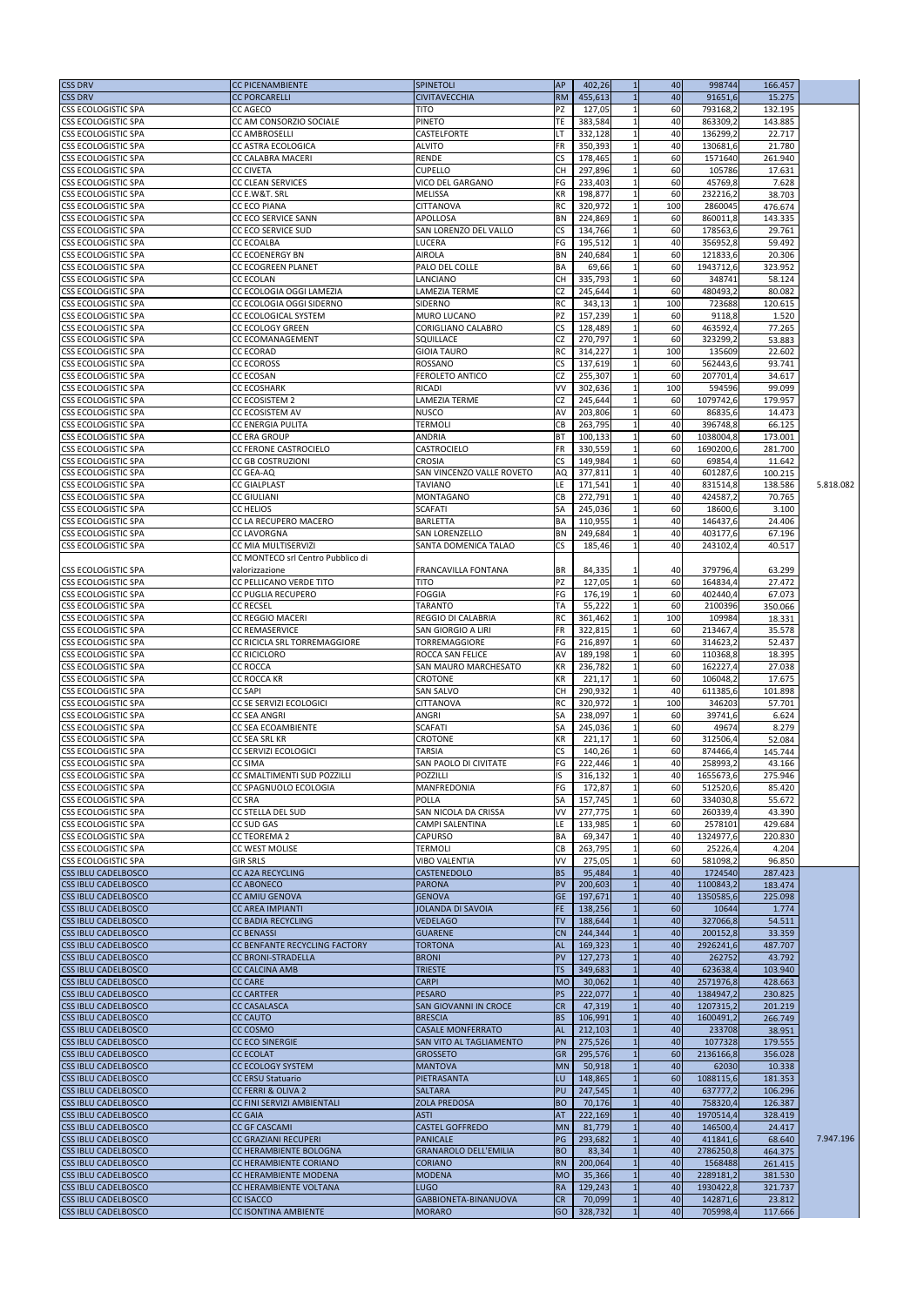| <b>CSS DRV</b>                                           | <b>CC PICENAMBIENTE</b>                              | <b>SPINETOLI</b>                          | <b>AP</b>               | 402,26<br>$\mathbf{1}$     | 40        | 998744                | 166.457           |           |
|----------------------------------------------------------|------------------------------------------------------|-------------------------------------------|-------------------------|----------------------------|-----------|-----------------------|-------------------|-----------|
| <b>CSS DRV</b>                                           | <b>CC PORCARELLI</b>                                 | <b>CIVITAVECCHIA</b>                      | <b>RM</b>               | 455,613                    | 40        | 91651,6               | 15.275            |           |
| <b>CSS ECOLOGISTIC SPA</b>                               | CC AGECO                                             | <b>TITO</b>                               | PZ                      | 127,05                     | 60        | 793168.2              | 132.195           |           |
| <b>CSS ECOLOGISTIC SPA</b>                               | CC AM CONSORZIO SOCIALE                              | <b>PINETO</b>                             | <b>TE</b>               | 383,584<br>1               | 40        | 863309,2              | 143.885           |           |
| <b>CSS ECOLOGISTIC SPA</b>                               | <b>CC AMBROSELLI</b>                                 | CASTELFORTE                               | LT                      | 332,128                    | 40        | 136299,2              | 22.717            |           |
| <b>CSS ECOLOGISTIC SPA</b>                               | CC ASTRA ECOLOGICA                                   | <b>ALVITO</b>                             | <b>FR</b>               | 350,393                    | 40        | 130681,6              | 21.780            |           |
| <b>CSS ECOLOGISTIC SPA</b>                               | CC CALABRA MACERI                                    | <b>RENDE</b>                              | CS                      | 178,465                    | 60        | 1571640               | 261.940           |           |
| <b>CSS ECOLOGISTIC SPA</b>                               | <b>CC CIVETA</b>                                     | <b>CUPELLO</b>                            | <b>CH</b>               | 297,896                    | 60        | 105786                | 17.631            |           |
| <b>CSS ECOLOGISTIC SPA</b>                               | <b>CC CLEAN SERVICES</b>                             | <b>VICO DEL GARGANO</b>                   | FG                      | 233,403<br>1               | 60        | 45769,8               | 7.628             |           |
| <b>CSS ECOLOGISTIC SPA</b>                               | CC E.W&T. SRL                                        | <b>MELISSA</b>                            | <b>KR</b>               | 198,877<br>$\mathbf{1}$    | 60        | 232216,2              | 38.703            |           |
| <b>CSS ECOLOGISTIC SPA</b>                               | <b>CC ECO PIANA</b>                                  | <b>CITTANOVA</b>                          | <b>RC</b><br><b>BN</b>  | 320,972<br>1<br>224,869    | 100<br>60 | 2860045<br>860011,8   | 476.674           |           |
| <b>CSS ECOLOGISTIC SPA</b><br><b>CSS ECOLOGISTIC SPA</b> | <b>CC ECO SERVICE SANN</b>                           | APOLLOSA<br><b>SAN LORENZO DEL VALLO</b>  | <b>CS</b>               | 134,766                    | 60        | 178563,6              | 143.335<br>29.761 |           |
| <b>CSS ECOLOGISTIC SPA</b>                               | CC ECO SERVICE SUD<br><b>CC ECOALBA</b>              | LUCERA                                    | FG                      | 195,512                    | 40        | 356952,8              | 59.492            |           |
| <b>CSS ECOLOGISTIC SPA</b>                               | <b>CC ECOENERGY BN</b>                               | <b>AIROLA</b>                             | <b>BN</b>               | 240,684<br>1               | 60        | 121833,6              | 20.306            |           |
| <b>CSS ECOLOGISTIC SPA</b>                               | <b>CC ECOGREEN PLANET</b>                            | PALO DEL COLLE                            | <b>BA</b>               | 69,66<br>1                 | 60        | 1943712,6             | 323.952           |           |
| <b>CSS ECOLOGISTIC SPA</b>                               | <b>CC ECOLAN</b>                                     | LANCIANO                                  | <b>CH</b>               | 335,793                    | 60        | 348741                | 58.124            |           |
| <b>CSS ECOLOGISTIC SPA</b>                               | CC ECOLOGIA OGGI LAMEZIA                             | LAMEZIA TERME                             | <b>CZ</b>               | 245,644<br>1               | 60        | 480493,2              | 80.082            |           |
| <b>CSS ECOLOGISTIC SPA</b>                               | <b>CC ECOLOGIA OGGI SIDERNO</b>                      | <b>SIDERNO</b>                            | RC                      | 343,13<br>1                | 100       | 723688                | 120.615           |           |
| <b>CSS ECOLOGISTIC SPA</b>                               | CC ECOLOGICAL SYSTEM                                 | <b>MURO LUCANO</b>                        | PZ                      | 157,239                    | 60        | 9118,8                | 1.520             |           |
| <b>CSS ECOLOGISTIC SPA</b>                               | <b>CC ECOLOGY GREEN</b>                              | <b>CORIGLIANO CALABRO</b>                 | $\overline{\mathsf{c}}$ | 128,489                    | 60        | 463592,4              | 77.265            |           |
| <b>CSS ECOLOGISTIC SPA</b>                               | <b>CC ECOMANAGEMENT</b>                              | SQUILLACE                                 | <b>CZ</b>               | 270,797                    | 60        | 323299,2              | 53.883            |           |
| <b>CSS ECOLOGISTIC SPA</b>                               | <b>CC ECORAD</b>                                     | <b>GIOIA TAURO</b>                        | <b>RC</b>               | 314,227<br>1               | 100       | 135609                | 22.602            |           |
| <b>CSS ECOLOGISTIC SPA</b>                               | <b>CC ECOROSS</b>                                    | <b>ROSSANO</b>                            | <b>CS</b>               | 137,619<br>-1              | 60        | 562443,6              | 93.741            |           |
| <b>CSS ECOLOGISTIC SPA</b>                               | <b>CC ECOSAN</b>                                     | <b>FEROLETO ANTICO</b>                    | <b>CZ</b>               | 255,307                    | 60        | 207701,4              | 34.617            |           |
| <b>CSS ECOLOGISTIC SPA</b>                               | <b>CC ECOSHARK</b>                                   | <b>RICADI</b>                             | VV                      | 302,636                    | 100       | 594596                | 99.099            |           |
| <b>CSS ECOLOGISTIC SPA</b><br><b>CSS ECOLOGISTIC SPA</b> | <b>CC ECOSISTEM 2</b><br>CC ECOSISTEM AV             | <b>LAMEZIA TERME</b><br><b>NUSCO</b>      | <b>CZ</b><br>AV         | 245,644<br>203,806         | 60<br>60  | 1079742,6<br>86835,6  | 179.957<br>14.473 |           |
| <b>CSS ECOLOGISTIC SPA</b>                               | <b>CC ENERGIA PULITA</b>                             | TERMOLI                                   | CB                      | 263,795<br>$\mathbf{1}$    | 40        | 396748,8              | 66.125            |           |
| <b>CSS ECOLOGISTIC SPA</b>                               | CC ERA GROUP                                         | ANDRIA                                    | <b>BT</b>               | 100,133                    | 60        | 1038004,8             | 173.001           |           |
| <b>CSS ECOLOGISTIC SPA</b>                               | CC FERONE CASTROCIELO                                | CASTROCIELO                               | <b>FR</b>               | 330,559                    | 60        | 1690200,6             | 281.700           |           |
| <b>CSS ECOLOGISTIC SPA</b>                               | <b>CC GB COSTRUZIONI</b>                             | <b>CROSIA</b>                             | CS                      | 149,984                    | 60        | 69854,4               | 11.642            |           |
| <b>CSS ECOLOGISTIC SPA</b>                               | <b>CC GEA-AQ</b>                                     | SAN VINCENZO VALLE ROVETO                 | AQ                      | 377,811                    | 40        | 601287,6              | 100.215           |           |
| <b>CSS ECOLOGISTIC SPA</b>                               | <b>CC GIALPLAST</b>                                  | <b>TAVIANO</b>                            | LE.                     | 171,541                    | 40        | 831514,8              | 138.586           | 5.818.082 |
| <b>CSS ECOLOGISTIC SPA</b>                               | <b>CC GIULIANI</b>                                   | <b>MONTAGANO</b>                          | CB                      | 272,791                    | 40        | 424587,2              | 70.765            |           |
| <b>CSS ECOLOGISTIC SPA</b>                               | CC HELIOS                                            | <b>SCAFATI</b>                            | <b>SA</b>               | 245,036                    | 60        | 18600,6               | 3.100             |           |
| <b>CSS ECOLOGISTIC SPA</b>                               | CC LA RECUPERO MACERO                                | <b>BARLETTA</b>                           | <b>BA</b>               | 110,955<br>1               | 40        | 146437,6              | 24.406            |           |
| <b>CSS ECOLOGISTIC SPA</b>                               | <b>CC LAVORGNA</b>                                   | <b>SAN LORENZELLO</b>                     | <b>BN</b>               | 249,684                    | 40        | 403177,6              | 67.196            |           |
| <b>CSS ECOLOGISTIC SPA</b>                               | CC MIA MULTISERVIZI                                  | SANTA DOMENICA TALAO                      | <b>CS</b>               | 185,46                     | 40        | 243102,4              | 40.517            |           |
|                                                          | CC MONTECO srl Centro Pubblico di                    |                                           |                         |                            |           |                       |                   |           |
| <b>CSS ECOLOGISTIC SPA</b>                               | valorizzazione                                       | <b>FRANCAVILLA FONTANA</b>                | IBR                     | 84,335<br>1                | 40        | 379796,4              | 63.299            |           |
| <b>CSS ECOLOGISTIC SPA</b>                               | <b>CC PELLICANO VERDE TITO</b>                       | <b>TITO</b>                               | PZ                      | 127,05                     | 60        | 164834,4              | 27.472            |           |
| <b>CSS ECOLOGISTIC SPA</b>                               | <b>CC PUGLIA RECUPERO</b>                            | <b>FOGGIA</b><br>TARANTO                  | FG<br><b>TA</b>         | 176,19                     | 60<br>60  | 402440,4              | 67.073            |           |
| <b>CSS ECOLOGISTIC SPA</b><br><b>CSS ECOLOGISTIC SPA</b> | <b>CC RECSEL</b><br><b>CC REGGIO MACERI</b>          | <b>REGGIO DI CALABRIA</b>                 | <b>RC</b>               | 55,222<br>361,462          | 100       | 2100396<br>109984     | 350.066<br>18.331 |           |
| <b>CSS ECOLOGISTIC SPA</b>                               | <b>CC REMASERVICE</b>                                | <b>SAN GIORGIO A LIRI</b>                 | <b>FR</b>               | 322,815                    | 60        | 213467,4              | 35.578            |           |
| <b>CSS ECOLOGISTIC SPA</b>                               | CC RICICLA SRL TORREMAGGIORE                         | TORREMAGGIORE                             | FG                      | 216,897                    | 60        | 314623,2              | 52.437            |           |
| <b>CSS ECOLOGISTIC SPA</b>                               | <b>CC RICICLORO</b>                                  | ROCCA SAN FELICE                          | AV                      | 189,198                    | 60        | 110368,8              | 18.395            |           |
| <b>CSS ECOLOGISTIC SPA</b>                               | <b>CC ROCCA</b>                                      | SAN MAURO MARCHESATO                      | <b>KR</b>               | 236,782                    | 60        | 162227,4              | 27.038            |           |
| <b>CSS ECOLOGISTIC SPA</b>                               | CC ROCCA KR                                          | <b>CROTONE</b>                            | <b>KR</b>               | 221,17                     | 60        | 106048,2              | 17.675            |           |
| <b>CSS ECOLOGISTIC SPA</b>                               | <b>CC SAPI</b>                                       | <b>SAN SALVO</b>                          | <b>CH</b>               | 290,932                    | 40        | 611385,6              | 101.898           |           |
| <b>CSS ECOLOGISTIC SPA</b>                               | CC SE SERVIZI ECOLOGICI                              | <b>CITTANOVA</b>                          | <b>RC</b>               | 320,972                    | 100       | 346203                | 57.701            |           |
| <b>CSS ECOLOGISTIC SPA</b>                               | <b>CC SEA ANGRI</b>                                  | ANGRI                                     | SA                      | 238,097                    | 60        | 39741,6               | 6.624             |           |
| <b>CSS ECOLOGISTIC SPA</b>                               | CC SEA ECOAMBIENTE                                   | <b>SCAFATI</b>                            | SA                      | 245,036                    | 60        | 49674                 | 8.279             |           |
| CSS ECOLOGISTIC SPA                                      | CC SEA SRL KR                                        | CROTONE                                   | <b>KR</b>               | 221,17                     | 60        | 312506,4              | 52.084            |           |
| <b>CSS ECOLOGISTIC SPA</b>                               | <b>CC SERVIZI ECOLOGICI</b>                          | TARSIA                                    | <b>CS</b>               | 140,26                     | 60        | 874466,4              | 145.744           |           |
| <b>CSS ECOLOGISTIC SPA</b>                               | <b>CC SIMA</b>                                       | <b>SAN PAOLO DI CIVITATE</b>              | FG                      | 222,446                    | 40        | 258993,2              | 43.166            |           |
| <b>CSS ECOLOGISTIC SPA</b><br><b>CSS ECOLOGISTIC SPA</b> | CC SMALTIMENTI SUD POZZILLI<br>CC SPAGNUOLO ECOLOGIA | <b>POZZILLI</b><br>MANFREDONIA            | IS<br>FG                | 316,132<br>172,87          | 40<br>60I | 1655673,6<br>512520,6 | 275.946<br>85.420 |           |
| <b>CSS ECOLOGISTIC SPA</b>                               | <b>CC SRA</b>                                        | POLLA                                     | <b>SA</b>               | 157,745                    | 60        | 334030,8              | 55.672            |           |
| <b>CSS ECOLOGISTIC SPA</b>                               | CC STELLA DEL SUD                                    | SAN NICOLA DA CRISSA                      | VV                      | 277,775                    | 60        | 260339,4              | 43.390            |           |
| CSS ECOLOGISTIC SPA                                      | CC SUD GAS                                           | CAMPI SALENTINA                           | LE.                     | 133,985                    | 60        | 2578101               | 429.684           |           |
| <b>CSS ECOLOGISTIC SPA</b>                               | CC TEOREMA 2                                         | <b>CAPURSO</b>                            | <b>BA</b>               | 69,347                     | 40        | 1324977,6             | 220.830           |           |
| <b>CSS ECOLOGISTIC SPA</b>                               | CC WEST MOLISE                                       | TERMOLI                                   | <b>CB</b>               | 263,795                    | 60        | 25226,4               | 4.204             |           |
| <b>CSS ECOLOGISTIC SPA</b>                               | <b>GIR SRLS</b>                                      | <b>VIBO VALENTIA</b>                      | VV                      | 275,05                     | 60        | 581098,2              | 96.850            |           |
| <b>CSS IBLU CADELBOSCO</b>                               | <b>CC A2A RECYCLING</b>                              | <b>CASTENEDOLO</b>                        | <b>BS</b>               | 95,484                     | 40        | 1724540               | 287.423           |           |
| <b>CSS IBLU CADELBOSCO</b>                               | <b>CC ABONECO</b>                                    | <b>PARONA</b>                             | PV                      | 200,603                    | 40        | 1100843,2             | 183.474           |           |
| <b>CSS IBLU CADELBOSCO</b>                               | <b>CC AMIU GENOVA</b>                                | <b>GENOVA</b>                             | <b>GE</b>               | 197,671                    | 40        | 1350585,6             | 225.098           |           |
| <b>CSS IBLU CADELBOSCO</b>                               | <b>CC AREA IMPIANTI</b>                              | JOLANDA DI SAVOIA                         | <b>FE</b>               | 138,256                    | 60        | 10644                 | 1.774             |           |
| <b>CSS IBLU CADELBOSCO</b>                               | <b>CC BADIA RECYCLING</b>                            | <b>VEDELAGO</b>                           | <b>TV</b>               | 188,644                    | 40        | 327066,8              | 54.511            |           |
| <b>CSS IBLU CADELBOSCO</b>                               | <b>CC BENASSI</b>                                    | <b>GUARENE</b>                            | <b>CN</b>               | 244,344                    | 40        | 200152,8              | 33.359            |           |
| <b>CSS IBLU CADELBOSCO</b>                               | CC BENFANTE RECYCLING FACTORY                        | <b>TORTONA</b>                            | <b>AL</b><br>PV         | 169,323                    | 40        | 2926241,6             | 487.707           |           |
| <b>CSS IBLU CADELBOSCO</b><br><b>CSS IBLU CADELBOSCO</b> | <b>CC BRONI-STRADELLA</b><br><b>CC CALCINA AMB</b>   | <b>BRONI</b><br><b>TRIESTE</b>            | <b>TS</b>               | 127,273<br>349,683         | 40<br>40  | 262752<br>623638,4    | 43.792<br>103.940 |           |
| <b>CSS IBLU CADELBOSCO</b>                               | <b>CC CARE</b>                                       | <b>CARPI</b>                              | <b>MO</b>               | 30,062                     | 40        | 2571976,8             | 428.663           |           |
| <b>CSS IBLU CADELBOSCO</b>                               | <b>CC CARTFER</b>                                    | <b>PESARO</b>                             | <b>PS</b>               | 222,077                    | 40        | 1384947,2             | 230.825           |           |
| <b>CSS IBLU CADELBOSCO</b>                               | <b>CC CASALASCA</b>                                  | <b>SAN GIOVANNI IN CROCE</b>              | <b>CR</b>               | 47,319                     | 40        | 1207315,2             | 201.219           |           |
| <b>CSS IBLU CADELBOSCO</b>                               | <b>CC CAUTO</b>                                      | <b>BRESCIA</b>                            | <b>BS</b>               | 106,991<br>1               | 40        | 1600491,2             | 266.749           |           |
| <b>CSS IBLU CADELBOSCO</b>                               | CC COSMO                                             | <b>CASALE MONFERRATO</b>                  | <b>AL</b>               | 212,103                    | 40        | 233708                | 38.951            |           |
| <b>CSS IBLU CADELBOSCO</b>                               | <b>CC ECO SINERGIE</b>                               | <b>SAN VITO AL TAGLIAMENTO</b>            | PN                      | 275,526                    | 40        | 1077328               | 179.555           |           |
| <b>CSS IBLU CADELBOSCO</b>                               | <b>CC ECOLAT</b>                                     | <b>GROSSETO</b>                           | <b>GR</b>               | 295,576<br>$1\overline{ }$ | <b>60</b> | 2136166,8             | 356.028           |           |
| <b>CSS IBLU CADELBOSCO</b>                               | <b>CC ECOLOGY SYSTEM</b>                             | <b>MANTOVA</b>                            | MN                      | 50,918<br>$\mathbf{1}$     | 40        | 62030                 | 10.338            |           |
| <b>CSS IBLU CADELBOSCO</b>                               | <b>CC ERSU Statuario</b>                             | PIETRASANTA                               | LU                      | 148,865                    | 60        | 1088115,6             | 181.353           |           |
| <b>CSS IBLU CADELBOSCO</b>                               | <b>CC FERRI &amp; OLIVA 2</b>                        | <b>SALTARA</b>                            | PU                      | 247,545                    | 40        | 637777,2              | 106.296           |           |
| <b>CSS IBLU CADELBOSCO</b>                               | CC FINI SERVIZI AMBIENTALI                           | <b>ZOLA PREDOSA</b>                       | <b>BO</b>               | 70,176                     | 40        | 758320,4              | 126.387           |           |
| <b>CSS IBLU CADELBOSCO</b>                               | <b>CC GAIA</b>                                       | <b>ASTI</b>                               | <b>AT</b>               | 222,169                    | 40        | 1970514,4             | 328.419           |           |
| <b>CSS IBLU CADELBOSCO</b><br><b>CSS IBLU CADELBOSCO</b> | <b>CC GF CASCAMI</b><br><b>CC GRAZIANI RECUPERI</b>  | <b>CASTEL GOFFREDO</b><br><b>PANICALE</b> | <b>MN</b><br>PG         | 81,779<br>293,682          | 40<br>40  | 146500,4<br>411841,6  | 24.417<br>68.640  | 7.947.196 |
| <b>CSS IBLU CADELBOSCO</b>                               | CC HERAMBIENTE BOLOGNA                               | <b>GRANAROLO DELL'EMILIA</b>              | <b>BO</b>               | 83,34                      | 40        | 2786250,8             | 464.375           |           |
| <b>CSS IBLU CADELBOSCO</b>                               | CC HERAMBIENTE CORIANO                               | <b>CORIANO</b>                            | <b>RN</b>               | 200,064                    | 40        | 1568488               | 261.415           |           |
| <b>CSS IBLU CADELBOSCO</b>                               | CC HERAMBIENTE MODENA                                | <b>MODENA</b>                             | MO                      | 35,366                     | 40        | 2289181,2             | 381.530           |           |
| <b>CSS IBLU CADELBOSCO</b>                               | CC HERAMBIENTE VOLTANA                               | <b>LUGO</b>                               | <b>RA</b>               | 129,243                    | 40        | 1930422,8             | 321.737           |           |
| <b>CSS IBLU CADELBOSCO</b>                               | <b>CC ISACCO</b>                                     | GABBIONETA-BINANUOVA                      | CR                      | 70,099                     | 40        | 142871,6              | 23.812            |           |
| <b>CSS IBLU CADELBOSCO</b>                               | CC ISONTINA AMBIENTE                                 | <b>MORARO</b>                             | GO                      | 328,732                    | 40        | 705998,4              | 117.666           |           |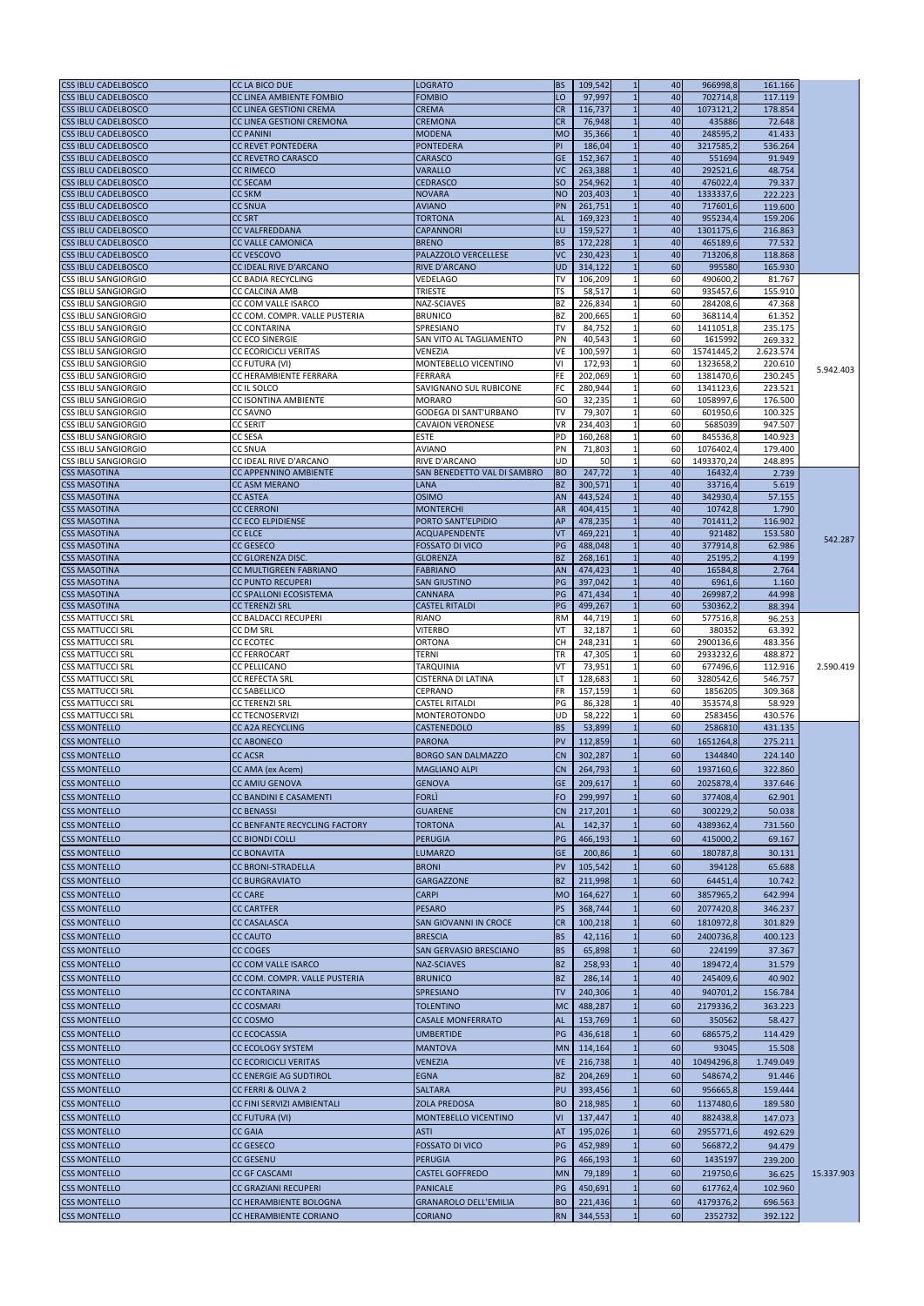| <b>CSS IBLU CADELBOSCO</b>                               | <b>CC LA BICO DUE</b>                                | <b>LOGRATO</b>                         | <b>BS</b>       | 109,542<br>$\mathbf{1}$       | 40       | 966998,8               | 161.166            |            |
|----------------------------------------------------------|------------------------------------------------------|----------------------------------------|-----------------|-------------------------------|----------|------------------------|--------------------|------------|
| <b>CSS IBLU CADELBOSCO</b>                               | CC LINEA AMBIENTE FOMBIO                             | <b>FOMBIO</b>                          | LO              | 97,997                        | 40       | 702714,8               | 117.119            |            |
| <b>CSS IBLU CADELBOSCO</b>                               | <b>CC LINEA GESTIONI CREMA</b>                       | <b>CREMA</b>                           | <b>CR</b>       | 116,737<br>$\mathbf{1}$       | 40       | 1073121.2              | 178.854            |            |
| <b>CSS IBLU CADELBOSCO</b>                               | CC LINEA GESTIONI CREMONA                            | <b>CREMONA</b>                         | <b>CR</b>       | 76,948                        | 40       | 435886                 | 72.648             |            |
| <b>CSS IBLU CADELBOSCO</b>                               | <b>CC PANINI</b>                                     | <b>MODENA</b>                          | <b>MO</b>       | 35,366<br>$\overline{1}$      | 40       | 248595,2               | 41.433             |            |
| <b>CSS IBLU CADELBOSCO</b>                               | <b>CC REVET PONTEDERA</b>                            | <b>PONTEDERA</b>                       | PI              | 186,04<br>$\overline{1}$      | 40       | 3217585,2              | 536.264            |            |
| <b>CSS IBLU CADELBOSCO</b>                               | <b>CC REVETRO CARASCO</b>                            | <b>CARASCO</b>                         | <b>GE</b>       | 152,367                       | 40       | 551694                 | 91.949             |            |
| <b>CSS IBLU CADELBOSCO</b><br><b>CSS IBLU CADELBOSCO</b> | <b>CC RIMECO</b><br><b>CC SECAM</b>                  | VARALLO<br><b>CEDRASCO</b>             | VC<br><b>SO</b> | 263,388<br>254,962            | 40<br>40 | 292521,6<br>476022,4   | 48.754<br>79.337   |            |
| <b>CSS IBLU CADELBOSCO</b>                               | <b>CC SKM</b>                                        | <b>NOVARA</b>                          | <b>NO</b>       | 203,403<br>$\overline{1}$     | 40       | 1333337,6              | 222.223            |            |
| <b>CSS IBLU CADELBOSCO</b>                               | <b>CC SNUA</b>                                       | <b>AVIANO</b>                          | PN              | 261,751<br>$\overline{1}$     | 40       | 717601,6               | 119.600            |            |
| <b>CSS IBLU CADELBOSCO</b>                               | <b>CC SRT</b>                                        | <b>TORTONA</b>                         | <b>AL</b>       | 169,323                       | 40       | 955234,4               | 159.206            |            |
| <b>CSS IBLU CADELBOSCO</b>                               | <b>CC VALFREDDANA</b>                                | <b>CAPANNORI</b>                       | LU              | 159,527<br>$\mathbf{1}$       | 40       | 1301175,6              | 216.863            |            |
| <b>CSS IBLU CADELBOSCO</b>                               | <b>CC VALLE CAMONICA</b>                             | <b>BRENO</b>                           | <b>BS</b>       | 172,228<br>$\overline{1}$     | 40       | 465189,6               | 77.532             |            |
| <b>CSS IBLU CADELBOSCO</b>                               | <b>CC VESCOVO</b>                                    | PALAZZOLO VERCELLESE                   | VC              | 230,423                       | 40       | 713206,8               | 118.868            |            |
| <b>CSS IBLU CADELBOSCO</b>                               | CC IDEAL RIVE D'ARCANO                               | <b>RIVE D'ARCANO</b>                   | <b>UD</b>       | 314,122<br>$\mathbf{1}$       | 60       | 995580                 | 165.930            |            |
| <b>CSS IBLU SANGIORGIO</b>                               | CC BADIA RECYCLING                                   | <b>VEDELAGO</b>                        | <b>TV</b>       | 106,209                       | 60       | 490600,                | 81.767             |            |
| <b>CSS IBLU SANGIORGIO</b>                               | <b>CC CALCINA AMB</b>                                | TRIESTE                                | <b>TS</b>       | 58,517                        | 60       | 935457,6               | 155.910            |            |
| <b>CSS IBLU SANGIORGIO</b>                               | CC COM VALLE ISARCO                                  | NAZ-SCIAVES                            | <b>BZ</b>       | 226,834<br>1                  | 60       | 284208,6               | 47.368             |            |
| <b>CSS IBLU SANGIORGIO</b>                               | CC COM. COMPR. VALLE PUSTERIA                        | <b>BRUNICO</b>                         | <b>BZ</b>       | 200,665                       | 60       | 368114,4               | 61.352             |            |
| <b>CSS IBLU SANGIORGIO</b>                               | <b>CC CONTARINA</b>                                  | <b>SPRESIANO</b>                       | <b>TV</b>       | 84,752                        | 60       | 1411051,8              | 235.175            |            |
| <b>CSS IBLU SANGIORGIO</b>                               | <b>CC ECO SINERGIE</b>                               | SAN VITO AL TAGLIAMENTO                | PN              | 40,543<br>$\mathbf{1}$        | 60       | 1615992                | 269.332            |            |
| <b>CSS IBLU SANGIORGIO</b>                               | <b>CC ECORICICLI VERITAS</b>                         | <b>VENEZIA</b>                         | <b>VE</b>       | 100,597                       | 60       | 15741445,2             | 2.623.574          |            |
| <b>CSS IBLU SANGIORGIO</b><br><b>CSS IBLU SANGIORGIO</b> | CC FUTURA (VI)<br>CC HERAMBIENTE FERRARA             | <b>MONTEBELLO VICENTINO</b><br>FERRARA | ٧I<br>FE        | 172,93<br>-1<br>202,069<br>-1 | 60<br>60 | 1323658,2<br>1381470,6 | 220.610<br>230.245 | 5.942.403  |
| <b>CSS IBLU SANGIORGIO</b>                               | CC IL SOLCO                                          | SAVIGNANO SUL RUBICONE                 | FC              | 280,944                       | 60       | 1341123,6              | 223.521            |            |
| <b>CSS IBLU SANGIORGIO</b>                               | CC ISONTINA AMBIENTE                                 | <b>MORARO</b>                          | GO              | 32,235                        | 60       | 1058997,6              | 176.500            |            |
| <b>CSS IBLU SANGIORGIO</b>                               | <b>CC SAVNO</b>                                      | <b>GODEGA DI SANT'URBANO</b>           | <b>TV</b>       | 79,307<br>$\mathbf{1}$        | 60       | 601950,6               | 100.325            |            |
| <b>CSS IBLU SANGIORGIO</b>                               | <b>CC SERIT</b>                                      | <b>CAVAION VERONESE</b>                | <b>VR</b>       | 234,403                       | 60       | 5685039                | 947.507            |            |
| <b>CSS IBLU SANGIORGIO</b>                               | CC SESA                                              | <b>ESTE</b>                            | <b>PD</b>       | 160,268<br>$\mathbf{1}$       | 60       | 845536,8               | 140.923            |            |
| ICSS IBLU SANGIORGIO                                     | <b>CC SNUA</b>                                       | <b>AVIANO</b>                          | PN              | 71,803<br>$\mathbf{1}$        | 60       | 1076402,4              | 179.400            |            |
| <b>CSS IBLU SANGIORGIO</b>                               | CC IDEAL RIVE D'ARCANO                               | RIVE D'ARCANO                          | UD              | 50                            | 60       | 1493370,24             | 248.895            |            |
| <b>CSS MASOTINA</b>                                      | <b>CC APPENNINO AMBIENTE</b>                         | SAN BENEDETTO VAL DI SAMBRO            | <b>BO</b>       | 247,72<br>$\overline{1}$      | 40       | 16432,4                | 2.739              |            |
| <b>CSS MASOTINA</b>                                      | <b>CC ASM MERANO</b>                                 | <b>LANA</b>                            | <b>BZ</b>       | 300,571                       | 40       | 33716,4                | 5.619              |            |
| <b>CSS MASOTINA</b>                                      | <b>CC ASTEA</b>                                      | <b>OSIMO</b>                           | <b>AN</b>       | 443,524<br>$\overline{1}$     | 40       | 342930,4               | 57.155             |            |
| <b>CSS MASOTINA</b>                                      | <b>CC CERRONI</b>                                    | <b>MONTERCHI</b>                       | <b>AR</b>       | 404,415<br>$\overline{1}$     | 40       | 10742,8                | 1.790              |            |
| <b>CSS MASOTINA</b>                                      | <b>CC ECO ELPIDIENSE</b>                             | PORTO SANT'ELPIDIO                     | <b>AP</b>       | 478,235<br>$\overline{1}$     | 40       | 701411,2               | 116.902            |            |
| <b>CSS MASOTINA</b>                                      | <b>CC ELCE</b>                                       | <b>ACQUAPENDENTE</b>                   | VT              | 469,221<br>$\mathbf{1}$       | 40       | 921482                 | 153.580            | 542.287    |
| <b>CSS MASOTINA</b>                                      | <b>CC GESECO</b>                                     | <b>FOSSATO DI VICO</b>                 | PG              | 488,048                       | 40       | 377914,8               | 62.986             |            |
| <b>CSS MASOTINA</b>                                      | CC GLORENZA DISC.                                    | <b>GLORENZA</b>                        | <b>BZ</b>       | 268,161                       | 40       | 25195,2                | 4.199              |            |
| <b>CSS MASOTINA</b>                                      | <b>CC MULTIGREEN FABRIANO</b>                        | <b>FABRIANO</b>                        | AN              | 474,423<br>$\mathbf{1}$       | 40       | 16584,8                | 2.764              |            |
| <b>CSS MASOTINA</b>                                      | <b>CC PUNTO RECUPERI</b>                             | <b>SAN GIUSTINO</b>                    | PG              | 397,042                       | 40       | 6961,6                 | 1.160              |            |
| <b>CSS MASOTINA</b>                                      | <b>CC SPALLONI ECOSISTEMA</b>                        | <b>CANNARA</b>                         | PG<br>PG        | 471,434<br>499,267            | 40<br>60 | 269987,2               | 44.998<br>88.394   |            |
| <b>CSS MASOTINA</b><br><b>CSS MATTUCCI SRL</b>           | <b>CC TERENZI SRL</b><br><b>CC BALDACCI RECUPERI</b> | <b>CASTEL RITALDI</b><br>RIANO         | <b>RM</b>       | 44,719                        | 60       | 530362,2<br>577516,8   | 96.253             |            |
| <b>CSS MATTUCCI SRL</b>                                  | CC DM SRL                                            | VITERBO                                | VT              | 32,187                        | 60       | 380352                 | 63.392             |            |
| <b>CSS MATTUCCI SRL</b>                                  | <b>CC ECOTEC</b>                                     | <b>ORTONA</b>                          | CH              | 248,231                       | 60       | 2900136,6              | 483.356            |            |
| <b>CSS MATTUCCI SRL</b>                                  | <b>CC FERROCART</b>                                  | TERNI                                  | ΤR              | 47,305                        | 60       | 2933232,6              | 488.872            |            |
| <b>CSS MATTUCCI SRL</b>                                  | <b>CC PELLICANO</b>                                  | TARQUINIA                              | VT              | 73,951                        | 60       | 677496,6               | 112.916            | 2.590.419  |
| <b>CSS MATTUCCI SRL</b>                                  | <b>CC REFECTA SRL</b>                                | <b>CISTERNA DI LATINA</b>              | LΤ              | 128,683                       | 60       | 3280542,6              | 546.757            |            |
| <b>CSS MATTUCCI SRL</b>                                  | <b>CC SABELLICO</b>                                  | <b>CEPRANO</b>                         | FR              | 157,159                       | 60       | 1856205                | 309.368            |            |
| <b>CSS MATTUCCI SRL</b>                                  | <b>CC TERENZI SRL</b>                                | <b>CASTEL RITALDI</b>                  | $\mathsf{PG}$   | 86,328                        | 40       | 353574,8               | 58.929             |            |
| <b>CSS MATTUCCI SRL</b>                                  | <b>CC TECNOSERVIZI</b>                               | <b>MONTEROTONDO</b>                    | <b>UD</b>       | 58,222                        | 60       | 2583456                | 430.576            |            |
| <b>CSS MONTELLO</b>                                      | <b>CC A2A RECYCLING</b>                              | CASTENEDOLO                            | <b>BS</b>       | 53,899                        | 60       | 2586810                | 431.135            |            |
| <b>CSS MONTELLO</b>                                      | <b>CC ABONECO</b>                                    | <b>PARONA</b>                          | PV              | 112,859                       | 60       | 1651264,8              | 275.211            |            |
| <b>CSS MONTELLO</b>                                      | <b>CC ACSR</b>                                       | <b>BORGO SAN DALMAZZO</b>              | <b>CN</b>       | 302,287                       | 60       | 1344840                | 224.140            |            |
| <b>CSS MONTELLO</b>                                      | CC AMA (ex Acem)                                     | <b>MAGLIANO ALPI</b>                   | <b>CN</b>       | 264,793                       | 60       | 1937160,6              | 322.860            |            |
| <b>CSS MONTELLO</b>                                      | <b>CC AMIU GENOVA</b>                                | <b>GENOVA</b>                          | <b>GE</b>       | 209,617                       | 60       | 2025878,4              | 337.646            |            |
| <b>CSS MONTELLO</b>                                      | <b>CC BANDINI E CASAMENTI</b>                        | <b>FORLI</b>                           | <b>FO</b>       | 299,997                       | 60       | 377408,4               | 62.901             |            |
| <b>CSS MONTELLO</b>                                      | <b>CC BENASSI</b>                                    | <b>GUARENE</b>                         | <b>CN</b>       | 217,201                       | 60       | 300229,2               | 50.038             |            |
| <b>CSS MONTELLO</b>                                      | CC BENFANTE RECYCLING FACTORY                        | TORTONA                                | <b>AL</b>       | 142,37                        | 60       | 4389362,4              | 731.560            |            |
|                                                          | <b>CC BIONDI COLLI</b>                               | <b>PERUGIA</b>                         | PG              | 466,193                       | 60       |                        |                    |            |
| <b>CSS MONTELLO</b>                                      |                                                      |                                        |                 |                               |          | 415000,2               | 69.167             |            |
| <b>CSS MONTELLO</b>                                      | <b>CC BONAVITA</b>                                   | <b>LUMARZO</b>                         | <b>GE</b>       | 200,86                        | 60       | 180787,8               | 30.131             |            |
| <b>CSS MONTELLO</b>                                      | <b>CC BRONI-STRADELLA</b>                            | <b>BRONI</b>                           | PV              | 105,542                       | 60       | 394128                 | 65.688             |            |
| <b>CSS MONTELLO</b>                                      | <b>CC BURGRAVIATO</b>                                | <b>GARGAZZONE</b>                      | <b>BZ</b>       | 211,998                       | 60       | 64451,4                | 10.742             |            |
| <b>CSS MONTELLO</b>                                      | <b>CC CARE</b>                                       | <b>CARPI</b>                           | <b>MO</b>       | 164,627                       | 60       | 3857965,2              | 642.994            |            |
| <b>CSS MONTELLO</b>                                      | <b>CC CARTFER</b>                                    | <b>PESARO</b>                          | PS              | 368,744                       | 60       | 2077420,8              | 346.237            |            |
| <b>CSS MONTELLO</b>                                      | <b>CC CASALASCA</b>                                  | SAN GIOVANNI IN CROCE                  | <b>CR</b>       | 100,218                       | 60       | 1810972,8              | 301.829            |            |
| <b>CSS MONTELLO</b>                                      | <b>CC CAUTO</b>                                      | <b>BRESCIA</b>                         | <b>BS</b>       | 42,116                        | 60       | 2400736,8              | 400.123            |            |
| <b>CSS MONTELLO</b>                                      | <b>CC COGES</b>                                      | <b>SAN GERVASIO BRESCIANO</b>          | <b>BS</b>       | 65,898                        | 60       | 224199                 | 37.367             |            |
| <b>CSS MONTELLO</b>                                      | CC COM VALLE ISARCO                                  | <b>NAZ-SCIAVES</b>                     | <b>BZ</b>       | 258,93                        | 40       | 189472,4               | 31.579             |            |
| <b>CSS MONTELLO</b>                                      | CC COM. COMPR. VALLE PUSTERIA                        | <b>BRUNICO</b>                         | <b>BZ</b>       | 286,14                        | 40       | 245409,6               | 40.902             |            |
| <b>CSS MONTELLO</b>                                      | <b>CC CONTARINA</b>                                  | <b>SPRESIANO</b>                       | <b>TV</b>       | 240,306                       | 40       | 940701,2               | 156.784            |            |
| <b>CSS MONTELLO</b>                                      | <b>CC COSMARI</b>                                    | TOLENTINO                              | <b>MC</b>       | 488,287                       | 60       | 2179336,2              | 363.223            |            |
| <b>CSS MONTELLO</b>                                      | CC COSMO                                             | <b>CASALE MONFERRATO</b>               | <b>AL</b>       | 153,769                       | 60       | 350562                 | 58.427             |            |
|                                                          |                                                      |                                        |                 |                               |          |                        |                    |            |
| <b>CSS MONTELLO</b>                                      | <b>CC ECOCASSIA</b>                                  | UMBERTIDE                              | PG              | 436,618                       | 60       | 686575,2               | 114.429            |            |
| <b>CSS MONTELLO</b>                                      | <b>CC ECOLOGY SYSTEM</b>                             | <b>MANTOVA</b>                         | <b>MN</b>       | 114,164                       | 60       | 93045                  | 15.508             |            |
| <b>CSS MONTELLO</b>                                      | <b>CC ECORICICLI VERITAS</b>                         | <b>VENEZIA</b>                         | <b>VE</b>       | 216,738<br>$\mathbf{1}$       | 40       | 10494296,8             | 1.749.049          |            |
| <b>CSS MONTELLO</b>                                      | CC ENERGIE AG SUDTIROL                               | <b>EGNA</b>                            | <b>BZ</b>       | 204.269                       | 60       | 548674,2               | 91.446             |            |
| <b>CSS MONTELLO</b>                                      | <b>CC FERRI &amp; OLIVA 2</b>                        | <b>SALTARA</b>                         | PU              | 393,456                       | 60       | 956665,8               | 159.444            |            |
| <b>CSS MONTELLO</b>                                      | CC FINI SERVIZI AMBIENTALI                           | <b>ZOLA PREDOSA</b>                    | <b>BO</b>       | 218,985                       | 60       | 1137480,6              | 189.580            |            |
| <b>CSS MONTELLO</b>                                      | CC FUTURA (VI)                                       | <b>MONTEBELLO VICENTINO</b>            | VI              | 137,447                       | 40       | 882438,8               | 147.073            |            |
| <b>CSS MONTELLO</b>                                      | <b>CC GAIA</b>                                       | <b>ASTI</b>                            | AT              | 195,026                       | 60       | 2955771,6              | 492.629            |            |
| <b>CSS MONTELLO</b>                                      | <b>CC GESECO</b>                                     | <b>FOSSATO DI VICO</b>                 | PG              | 452,989                       | 60       | 566872,2               | 94.479             |            |
| <b>CSS MONTELLO</b>                                      | <b>CC GESENU</b>                                     | PERUGIA                                | PG              | 466,193                       | 60       | 1435197                | 239.200            |            |
| <b>CSS MONTELLO</b>                                      | <b>CC GF CASCAMI</b>                                 | <b>CASTEL GOFFREDO</b>                 | <b>MN</b>       | 79,189                        | 60       | 219750,6               | 36.625             | 15.337.903 |
| <b>CSS MONTELLO</b>                                      | <b>CC GRAZIANI RECUPERI</b>                          | <b>PANICALE</b>                        | PG              | 450,691                       | 60       |                        | 102.960            |            |
|                                                          |                                                      |                                        |                 |                               |          | 617762,4               |                    |            |
| <b>CSS MONTELLO</b>                                      | CC HERAMBIENTE BOLOGNA                               | <b>GRANAROLO DELL'EMILIA</b>           | <b>BO</b>       | 221,436                       | 60       | 4179376,2              | 696.563            |            |
| <b>CSS MONTELLO</b>                                      | CC HERAMBIENTE CORIANO                               | <b>CORIANO</b>                         | <b>RN</b>       | 344,553                       | 60       | 2352732                | 392.122            |            |